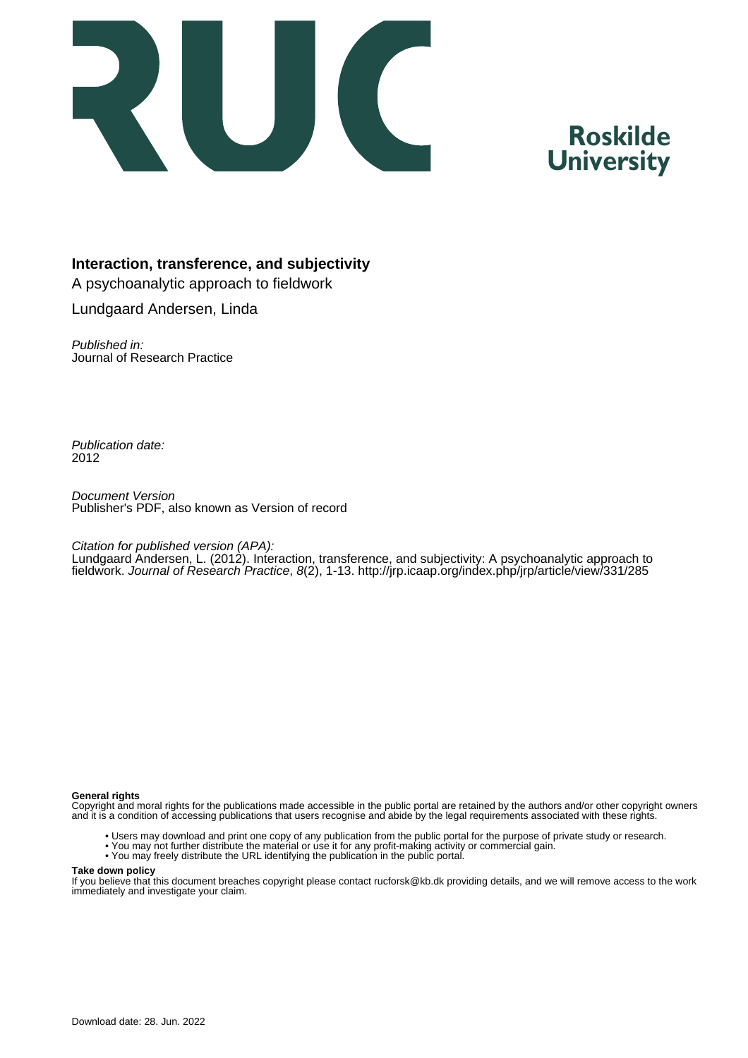

# **Roskilde University**

#### **Interaction, transference, and subjectivity**

A psychoanalytic approach to fieldwork Lundgaard Andersen, Linda

Published in: Journal of Research Practice

Publication date: 2012

Document Version Publisher's PDF, also known as Version of record

#### Citation for published version (APA):

Lundgaard Andersen, L. (2012). Interaction, transference, and subjectivity: A psychoanalytic approach to fieldwork. Journal of Research Practice, 8(2), 1-13. <http://jrp.icaap.org/index.php/jrp/article/view/331/285>

#### **General rights**

Copyright and moral rights for the publications made accessible in the public portal are retained by the authors and/or other copyright owners and it is a condition of accessing publications that users recognise and abide by the legal requirements associated with these rights.

- Users may download and print one copy of any publication from the public portal for the purpose of private study or research.
- You may not further distribute the material or use it for any profit-making activity or commercial gain.
- You may freely distribute the URL identifying the publication in the public portal.

#### **Take down policy**

If you believe that this document breaches copyright please contact rucforsk@kb.dk providing details, and we will remove access to the work immediately and investigate your claim.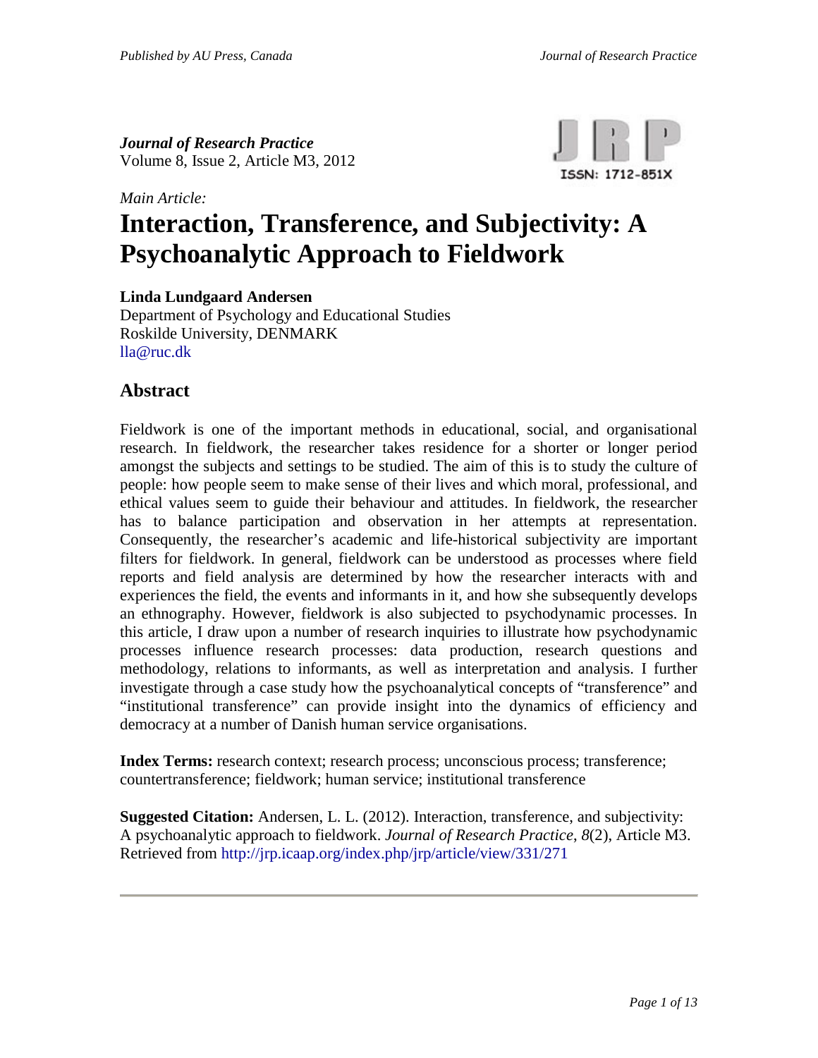*Journal of Research Practice* Volume 8, Issue 2, Article M3, 2012

*Main Article:*



# **Interaction, Transference, and Subjectivity: A Psychoanalytic Approach to Fieldwork**

**Linda Lundgaard Andersen**

Department of Psychology and Educational Studies Roskilde University, DENMARK [lla@ruc.dk](mailto:lla@ruc.dk)

### **Abstract**

Fieldwork is one of the important methods in educational, social, and organisational research. In fieldwork, the researcher takes residence for a shorter or longer period amongst the subjects and settings to be studied. The aim of this is to study the culture of people: how people seem to make sense of their lives and which moral, professional, and ethical values seem to guide their behaviour and attitudes. In fieldwork, the researcher has to balance participation and observation in her attempts at representation. Consequently, the researcher's academic and life-historical subjectivity are important filters for fieldwork. In general, fieldwork can be understood as processes where field reports and field analysis are determined by how the researcher interacts with and experiences the field, the events and informants in it, and how she subsequently develops an ethnography. However, fieldwork is also subjected to psychodynamic processes. In this article, I draw upon a number of research inquiries to illustrate how psychodynamic processes influence research processes: data production, research questions and methodology, relations to informants, as well as interpretation and analysis. I further investigate through a case study how the psychoanalytical concepts of "transference" and "institutional transference" can provide insight into the dynamics of efficiency and democracy at a number of Danish human service organisations.

**Index Terms:** research context; research process; unconscious process; transference; countertransference; fieldwork; human service; institutional transference

**Suggested Citation:** Andersen, L. L. (2012). Interaction, transference, and subjectivity: A psychoanalytic approach to fieldwork. *Journal of Research Practice*, *8*(2), Article M3. Retrieved from <http://jrp.icaap.org/index.php/jrp/article/view/331/271>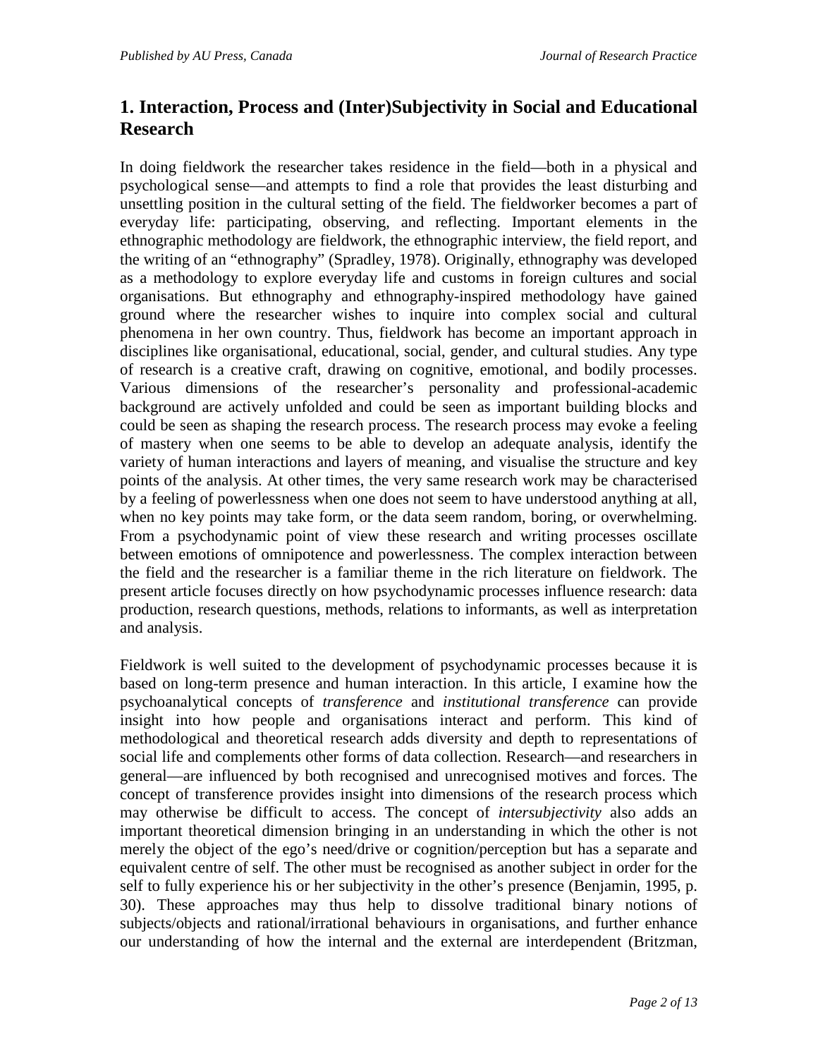# **1. Interaction, Process and (Inter)Subjectivity in Social and Educational Research**

In doing fieldwork the researcher takes residence in the field—both in a physical and psychological sense—and attempts to find a role that provides the least disturbing and unsettling position in the cultural setting of the field. The fieldworker becomes a part of everyday life: participating, observing, and reflecting. Important elements in the ethnographic methodology are fieldwork, the ethnographic interview, the field report, and the writing of an "ethnography" (Spradley, 1978). Originally, ethnography was developed as a methodology to explore everyday life and customs in foreign cultures and social organisations. But ethnography and ethnography-inspired methodology have gained ground where the researcher wishes to inquire into complex social and cultural phenomena in her own country. Thus, fieldwork has become an important approach in disciplines like organisational, educational, social, gender, and cultural studies. Any type of research is a creative craft, drawing on cognitive, emotional, and bodily processes. Various dimensions of the researcher's personality and professional-academic background are actively unfolded and could be seen as important building blocks and could be seen as shaping the research process. The research process may evoke a feeling of mastery when one seems to be able to develop an adequate analysis, identify the variety of human interactions and layers of meaning, and visualise the structure and key points of the analysis. At other times, the very same research work may be characterised by a feeling of powerlessness when one does not seem to have understood anything at all, when no key points may take form, or the data seem random, boring, or overwhelming. From a psychodynamic point of view these research and writing processes oscillate between emotions of omnipotence and powerlessness. The complex interaction between the field and the researcher is a familiar theme in the rich literature on fieldwork. The present article focuses directly on how psychodynamic processes influence research: data production, research questions, methods, relations to informants, as well as interpretation and analysis.

Fieldwork is well suited to the development of psychodynamic processes because it is based on long-term presence and human interaction. In this article, I examine how the psychoanalytical concepts of *transference* and *institutional transference* can provide insight into how people and organisations interact and perform. This kind of methodological and theoretical research adds diversity and depth to representations of social life and complements other forms of data collection. Research—and researchers in general—are influenced by both recognised and unrecognised motives and forces. The concept of transference provides insight into dimensions of the research process which may otherwise be difficult to access. The concept of *intersubjectivity* also adds an important theoretical dimension bringing in an understanding in which the other is not merely the object of the ego's need/drive or cognition/perception but has a separate and equivalent centre of self. The other must be recognised as another subject in order for the self to fully experience his or her subjectivity in the other's presence (Benjamin, 1995, p. 30). These approaches may thus help to dissolve traditional binary notions of subjects/objects and rational/irrational behaviours in organisations, and further enhance our understanding of how the internal and the external are interdependent (Britzman,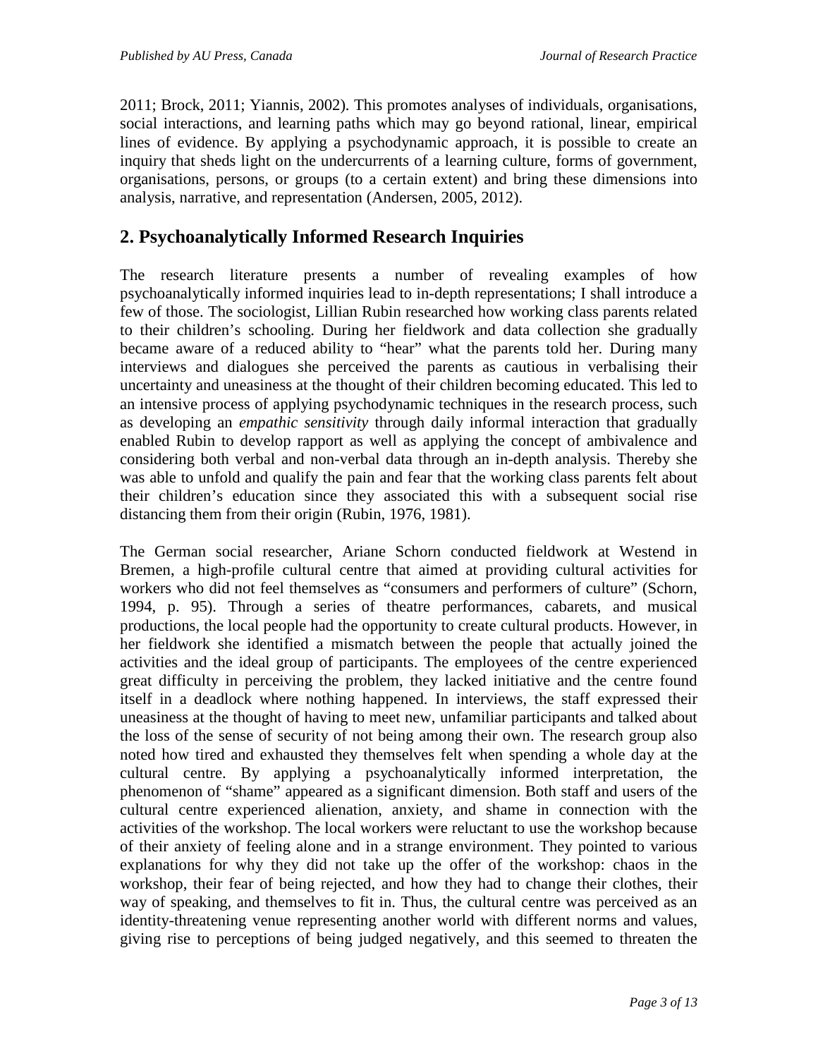2011; Brock, 2011; Yiannis, 2002). This promotes analyses of individuals, organisations, social interactions, and learning paths which may go beyond rational, linear, empirical lines of evidence. By applying a psychodynamic approach, it is possible to create an inquiry that sheds light on the undercurrents of a learning culture, forms of government, organisations, persons, or groups (to a certain extent) and bring these dimensions into analysis, narrative, and representation (Andersen, 2005, 2012).

### **2. Psychoanalytically Informed Research Inquiries**

The research literature presents a number of revealing examples of how psychoanalytically informed inquiries lead to in-depth representations; I shall introduce a few of those. The sociologist, Lillian Rubin researched how working class parents related to their children's schooling. During her fieldwork and data collection she gradually became aware of a reduced ability to "hear" what the parents told her. During many interviews and dialogues she perceived the parents as cautious in verbalising their uncertainty and uneasiness at the thought of their children becoming educated. This led to an intensive process of applying psychodynamic techniques in the research process, such as developing an *empathic sensitivity* through daily informal interaction that gradually enabled Rubin to develop rapport as well as applying the concept of ambivalence and considering both verbal and non-verbal data through an in-depth analysis. Thereby she was able to unfold and qualify the pain and fear that the working class parents felt about their children's education since they associated this with a subsequent social rise distancing them from their origin (Rubin, 1976, 1981).

The German social researcher, Ariane Schorn conducted fieldwork at Westend in Bremen, a high-profile cultural centre that aimed at providing cultural activities for workers who did not feel themselves as "consumers and performers of culture" (Schorn, 1994, p. 95). Through a series of theatre performances, cabarets, and musical productions, the local people had the opportunity to create cultural products. However, in her fieldwork she identified a mismatch between the people that actually joined the activities and the ideal group of participants. The employees of the centre experienced great difficulty in perceiving the problem, they lacked initiative and the centre found itself in a deadlock where nothing happened. In interviews, the staff expressed their uneasiness at the thought of having to meet new, unfamiliar participants and talked about the loss of the sense of security of not being among their own. The research group also noted how tired and exhausted they themselves felt when spending a whole day at the cultural centre. By applying a psychoanalytically informed interpretation, the phenomenon of "shame" appeared as a significant dimension. Both staff and users of the cultural centre experienced alienation, anxiety, and shame in connection with the activities of the workshop. The local workers were reluctant to use the workshop because of their anxiety of feeling alone and in a strange environment. They pointed to various explanations for why they did not take up the offer of the workshop: chaos in the workshop, their fear of being rejected, and how they had to change their clothes, their way of speaking, and themselves to fit in. Thus, the cultural centre was perceived as an identity-threatening venue representing another world with different norms and values, giving rise to perceptions of being judged negatively, and this seemed to threaten the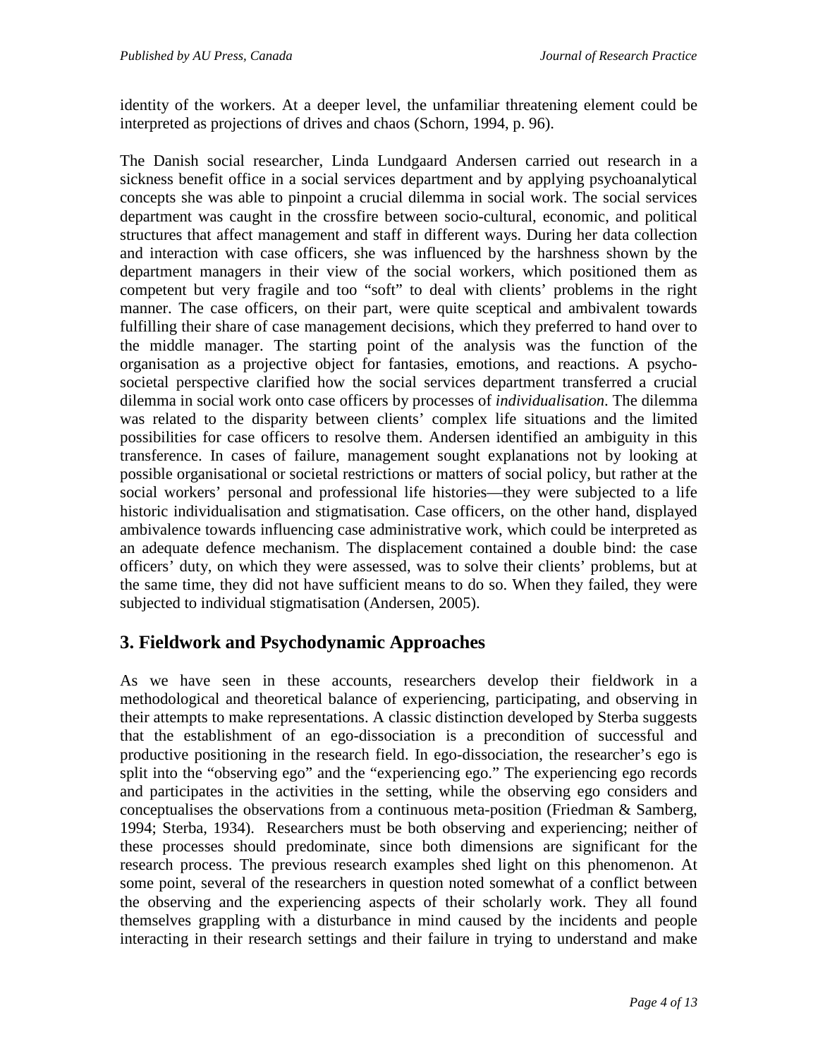identity of the workers. At a deeper level, the unfamiliar threatening element could be interpreted as projections of drives and chaos (Schorn, 1994, p. 96).

The Danish social researcher, Linda Lundgaard Andersen carried out research in a sickness benefit office in a social services department and by applying psychoanalytical concepts she was able to pinpoint a crucial dilemma in social work. The social services department was caught in the crossfire between socio-cultural, economic, and political structures that affect management and staff in different ways. During her data collection and interaction with case officers, she was influenced by the harshness shown by the department managers in their view of the social workers, which positioned them as competent but very fragile and too "soft" to deal with clients' problems in the right manner. The case officers, on their part, were quite sceptical and ambivalent towards fulfilling their share of case management decisions, which they preferred to hand over to the middle manager. The starting point of the analysis was the function of the organisation as a projective object for fantasies, emotions, and reactions. A psychosocietal perspective clarified how the social services department transferred a crucial dilemma in social work onto case officers by processes of *individualisation*. The dilemma was related to the disparity between clients' complex life situations and the limited possibilities for case officers to resolve them. Andersen identified an ambiguity in this transference. In cases of failure, management sought explanations not by looking at possible organisational or societal restrictions or matters of social policy, but rather at the social workers' personal and professional life histories—they were subjected to a life historic individualisation and stigmatisation. Case officers, on the other hand, displayed ambivalence towards influencing case administrative work, which could be interpreted as an adequate defence mechanism. The displacement contained a double bind: the case officers' duty, on which they were assessed, was to solve their clients' problems, but at the same time, they did not have sufficient means to do so. When they failed, they were subjected to individual stigmatisation (Andersen, 2005).

# **3. Fieldwork and Psychodynamic Approaches**

As we have seen in these accounts, researchers develop their fieldwork in a methodological and theoretical balance of experiencing, participating, and observing in their attempts to make representations. A classic distinction developed by Sterba suggests that the establishment of an ego-dissociation is a precondition of successful and productive positioning in the research field. In ego-dissociation, the researcher's ego is split into the "observing ego" and the "experiencing ego." The experiencing ego records and participates in the activities in the setting, while the observing ego considers and conceptualises the observations from a continuous meta-position (Friedman & Samberg, 1994; Sterba, 1934). Researchers must be both observing and experiencing; neither of these processes should predominate, since both dimensions are significant for the research process. The previous research examples shed light on this phenomenon. At some point, several of the researchers in question noted somewhat of a conflict between the observing and the experiencing aspects of their scholarly work. They all found themselves grappling with a disturbance in mind caused by the incidents and people interacting in their research settings and their failure in trying to understand and make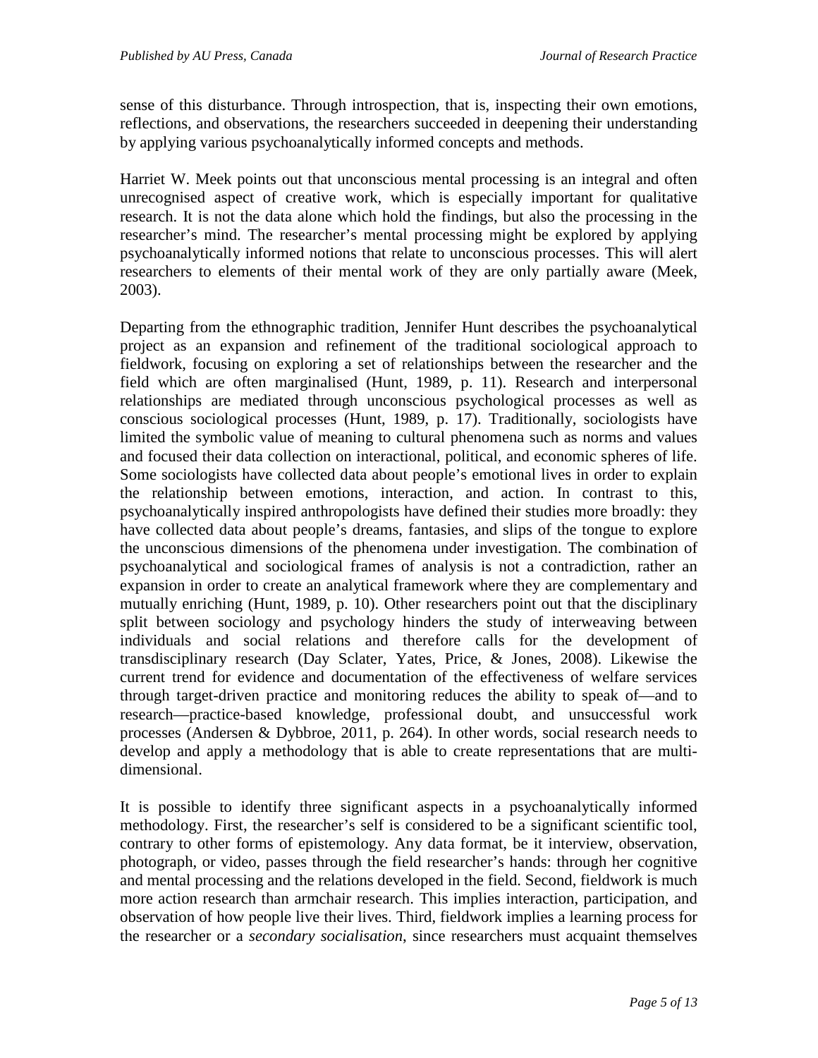sense of this disturbance. Through introspection, that is, inspecting their own emotions, reflections, and observations, the researchers succeeded in deepening their understanding by applying various psychoanalytically informed concepts and methods.

Harriet W. Meek points out that unconscious mental processing is an integral and often unrecognised aspect of creative work, which is especially important for qualitative research. It is not the data alone which hold the findings, but also the processing in the researcher's mind. The researcher's mental processing might be explored by applying psychoanalytically informed notions that relate to unconscious processes. This will alert researchers to elements of their mental work of they are only partially aware (Meek, 2003).

Departing from the ethnographic tradition, Jennifer Hunt describes the psychoanalytical project as an expansion and refinement of the traditional sociological approach to fieldwork, focusing on exploring a set of relationships between the researcher and the field which are often marginalised (Hunt, 1989, p. 11). Research and interpersonal relationships are mediated through unconscious psychological processes as well as conscious sociological processes (Hunt, 1989, p. 17). Traditionally, sociologists have limited the symbolic value of meaning to cultural phenomena such as norms and values and focused their data collection on interactional, political, and economic spheres of life. Some sociologists have collected data about people's emotional lives in order to explain the relationship between emotions, interaction, and action. In contrast to this, psychoanalytically inspired anthropologists have defined their studies more broadly: they have collected data about people's dreams, fantasies, and slips of the tongue to explore the unconscious dimensions of the phenomena under investigation. The combination of psychoanalytical and sociological frames of analysis is not a contradiction, rather an expansion in order to create an analytical framework where they are complementary and mutually enriching (Hunt, 1989, p. 10). Other researchers point out that the disciplinary split between sociology and psychology hinders the study of interweaving between individuals and social relations and therefore calls for the development of transdisciplinary research (Day Sclater, Yates, Price, & Jones, 2008). Likewise the current trend for evidence and documentation of the effectiveness of welfare services through target-driven practice and monitoring reduces the ability to speak of—and to research—practice-based knowledge, professional doubt, and unsuccessful work processes (Andersen & Dybbroe, 2011, p. 264). In other words, social research needs to develop and apply a methodology that is able to create representations that are multidimensional.

It is possible to identify three significant aspects in a psychoanalytically informed methodology. First, the researcher's self is considered to be a significant scientific tool, contrary to other forms of epistemology. Any data format, be it interview, observation, photograph, or video, passes through the field researcher's hands: through her cognitive and mental processing and the relations developed in the field. Second, fieldwork is much more action research than armchair research. This implies interaction, participation, and observation of how people live their lives. Third, fieldwork implies a learning process for the researcher or a *secondary socialisation*, since researchers must acquaint themselves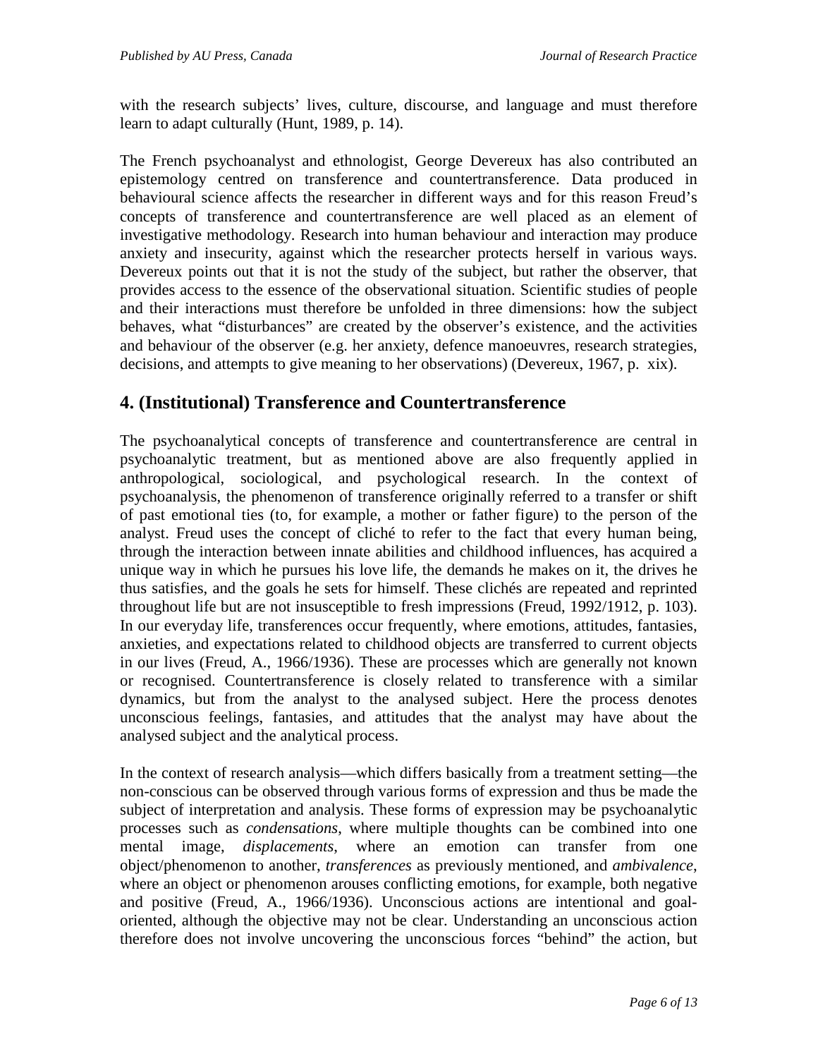with the research subjects' lives, culture, discourse, and language and must therefore learn to adapt culturally (Hunt, 1989, p. 14).

The French psychoanalyst and ethnologist, George Devereux has also contributed an epistemology centred on transference and countertransference. Data produced in behavioural science affects the researcher in different ways and for this reason Freud's concepts of transference and countertransference are well placed as an element of investigative methodology. Research into human behaviour and interaction may produce anxiety and insecurity, against which the researcher protects herself in various ways. Devereux points out that it is not the study of the subject, but rather the observer, that provides access to the essence of the observational situation. Scientific studies of people and their interactions must therefore be unfolded in three dimensions: how the subject behaves, what "disturbances" are created by the observer's existence, and the activities and behaviour of the observer (e.g. her anxiety, defence manoeuvres, research strategies, decisions, and attempts to give meaning to her observations) (Devereux, 1967, p. xix).

### **4. (Institutional) Transference and Countertransference**

The psychoanalytical concepts of transference and countertransference are central in psychoanalytic treatment, but as mentioned above are also frequently applied in anthropological, sociological, and psychological research. In the context of psychoanalysis, the phenomenon of transference originally referred to a transfer or shift of past emotional ties (to, for example, a mother or father figure) to the person of the analyst. Freud uses the concept of cliché to refer to the fact that every human being, through the interaction between innate abilities and childhood influences, has acquired a unique way in which he pursues his love life, the demands he makes on it, the drives he thus satisfies, and the goals he sets for himself. These clichés are repeated and reprinted throughout life but are not insusceptible to fresh impressions (Freud, 1992/1912, p. 103). In our everyday life, transferences occur frequently, where emotions, attitudes, fantasies, anxieties, and expectations related to childhood objects are transferred to current objects in our lives (Freud, A., 1966/1936). These are processes which are generally not known or recognised. Countertransference is closely related to transference with a similar dynamics, but from the analyst to the analysed subject. Here the process denotes unconscious feelings, fantasies, and attitudes that the analyst may have about the analysed subject and the analytical process.

In the context of research analysis—which differs basically from a treatment setting—the non-conscious can be observed through various forms of expression and thus be made the subject of interpretation and analysis. These forms of expression may be psychoanalytic processes such as *condensations*, where multiple thoughts can be combined into one mental image, *displacements*, where an emotion can transfer from one object/phenomenon to another, *transferences* as previously mentioned, and *ambivalence*, where an object or phenomenon arouses conflicting emotions, for example, both negative and positive (Freud, A., 1966/1936). Unconscious actions are intentional and goaloriented, although the objective may not be clear. Understanding an unconscious action therefore does not involve uncovering the unconscious forces "behind" the action, but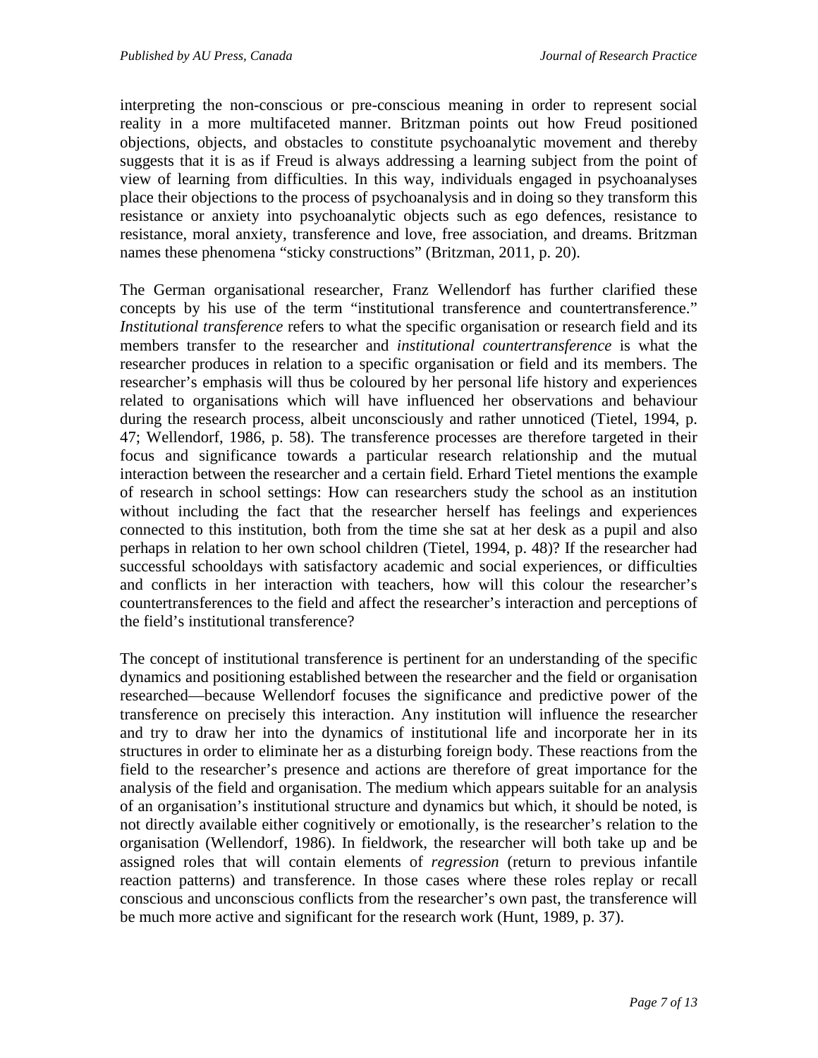interpreting the non-conscious or pre-conscious meaning in order to represent social reality in a more multifaceted manner. Britzman points out how Freud positioned objections, objects, and obstacles to constitute psychoanalytic movement and thereby suggests that it is as if Freud is always addressing a learning subject from the point of view of learning from difficulties. In this way, individuals engaged in psychoanalyses place their objections to the process of psychoanalysis and in doing so they transform this resistance or anxiety into psychoanalytic objects such as ego defences, resistance to resistance, moral anxiety, transference and love, free association, and dreams. Britzman names these phenomena "sticky constructions" (Britzman, 2011, p. 20).

The German organisational researcher, Franz Wellendorf has further clarified these concepts by his use of the term "institutional transference and countertransference." *Institutional transference* refers to what the specific organisation or research field and its members transfer to the researcher and *institutional countertransference* is what the researcher produces in relation to a specific organisation or field and its members. The researcher's emphasis will thus be coloured by her personal life history and experiences related to organisations which will have influenced her observations and behaviour during the research process, albeit unconsciously and rather unnoticed (Tietel, 1994, p. 47; Wellendorf, 1986, p. 58). The transference processes are therefore targeted in their focus and significance towards a particular research relationship and the mutual interaction between the researcher and a certain field. Erhard Tietel mentions the example of research in school settings: How can researchers study the school as an institution without including the fact that the researcher herself has feelings and experiences connected to this institution, both from the time she sat at her desk as a pupil and also perhaps in relation to her own school children (Tietel, 1994, p. 48)? If the researcher had successful schooldays with satisfactory academic and social experiences, or difficulties and conflicts in her interaction with teachers, how will this colour the researcher's countertransferences to the field and affect the researcher's interaction and perceptions of the field's institutional transference?

The concept of institutional transference is pertinent for an understanding of the specific dynamics and positioning established between the researcher and the field or organisation researched—because Wellendorf focuses the significance and predictive power of the transference on precisely this interaction. Any institution will influence the researcher and try to draw her into the dynamics of institutional life and incorporate her in its structures in order to eliminate her as a disturbing foreign body. These reactions from the field to the researcher's presence and actions are therefore of great importance for the analysis of the field and organisation. The medium which appears suitable for an analysis of an organisation's institutional structure and dynamics but which, it should be noted, is not directly available either cognitively or emotionally, is the researcher's relation to the organisation (Wellendorf, 1986). In fieldwork, the researcher will both take up and be assigned roles that will contain elements of *regression* (return to previous infantile reaction patterns) and transference. In those cases where these roles replay or recall conscious and unconscious conflicts from the researcher's own past, the transference will be much more active and significant for the research work (Hunt, 1989, p. 37).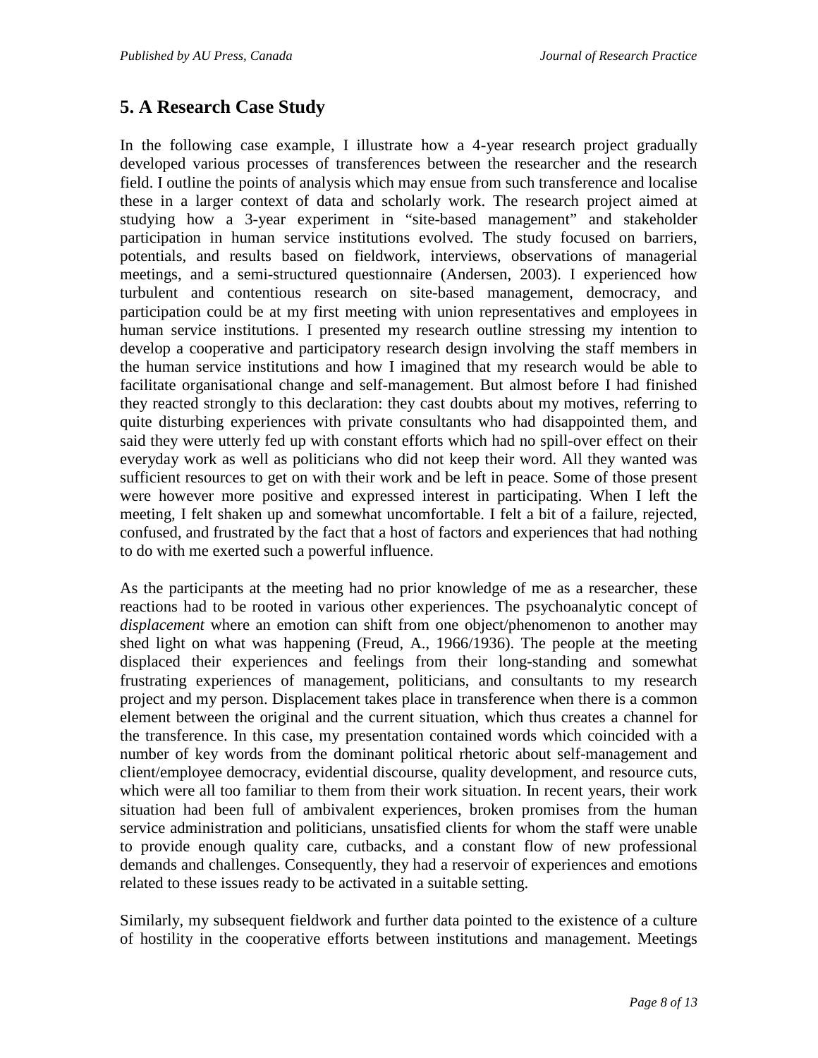## **5. A Research Case Study**

In the following case example, I illustrate how a 4-year research project gradually developed various processes of transferences between the researcher and the research field. I outline the points of analysis which may ensue from such transference and localise these in a larger context of data and scholarly work. The research project aimed at studying how a 3-year experiment in "site-based management" and stakeholder participation in human service institutions evolved. The study focused on barriers, potentials, and results based on fieldwork, interviews, observations of managerial meetings, and a semi-structured questionnaire (Andersen, 2003). I experienced how turbulent and contentious research on site-based management, democracy, and participation could be at my first meeting with union representatives and employees in human service institutions. I presented my research outline stressing my intention to develop a cooperative and participatory research design involving the staff members in the human service institutions and how I imagined that my research would be able to facilitate organisational change and self-management. But almost before I had finished they reacted strongly to this declaration: they cast doubts about my motives, referring to quite disturbing experiences with private consultants who had disappointed them, and said they were utterly fed up with constant efforts which had no spill-over effect on their everyday work as well as politicians who did not keep their word. All they wanted was sufficient resources to get on with their work and be left in peace. Some of those present were however more positive and expressed interest in participating. When I left the meeting, I felt shaken up and somewhat uncomfortable. I felt a bit of a failure, rejected, confused, and frustrated by the fact that a host of factors and experiences that had nothing to do with me exerted such a powerful influence.

As the participants at the meeting had no prior knowledge of me as a researcher, these reactions had to be rooted in various other experiences. The psychoanalytic concept of *displacement* where an emotion can shift from one object/phenomenon to another may shed light on what was happening (Freud, A., 1966/1936). The people at the meeting displaced their experiences and feelings from their long-standing and somewhat frustrating experiences of management, politicians, and consultants to my research project and my person. Displacement takes place in transference when there is a common element between the original and the current situation, which thus creates a channel for the transference. In this case, my presentation contained words which coincided with a number of key words from the dominant political rhetoric about self-management and client/employee democracy, evidential discourse, quality development, and resource cuts, which were all too familiar to them from their work situation. In recent years, their work situation had been full of ambivalent experiences, broken promises from the human service administration and politicians, unsatisfied clients for whom the staff were unable to provide enough quality care, cutbacks, and a constant flow of new professional demands and challenges. Consequently, they had a reservoir of experiences and emotions related to these issues ready to be activated in a suitable setting.

Similarly, my subsequent fieldwork and further data pointed to the existence of a culture of hostility in the cooperative efforts between institutions and management. Meetings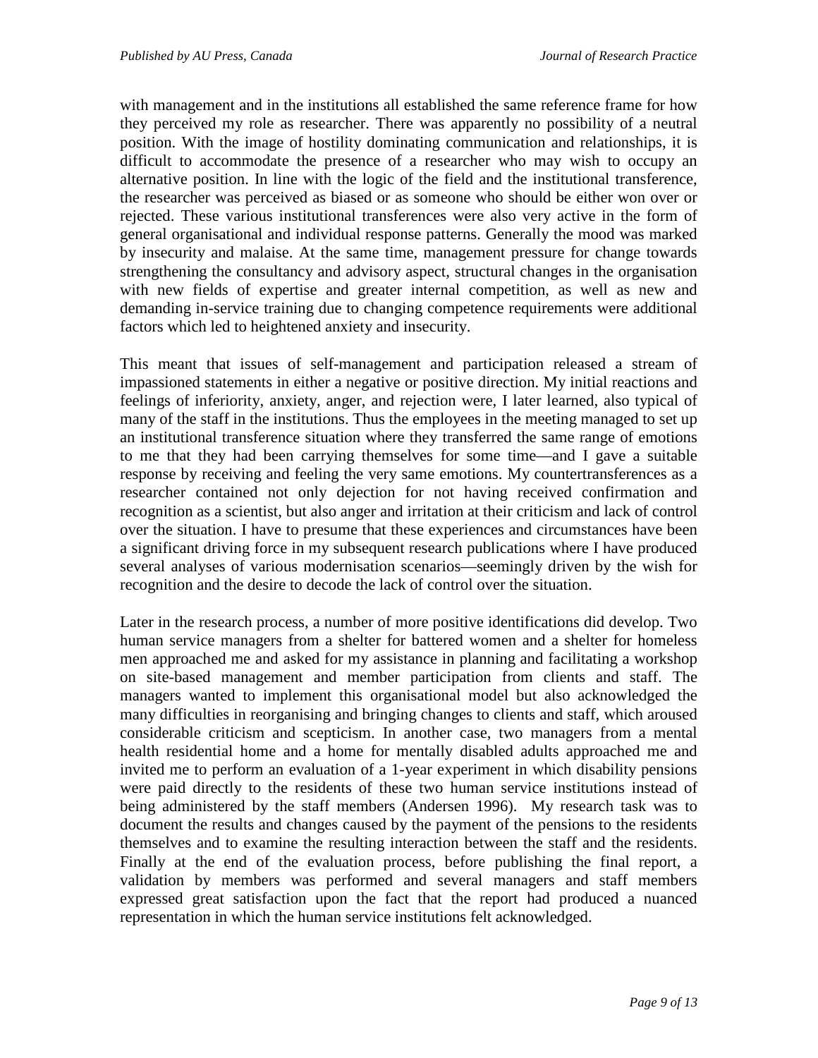with management and in the institutions all established the same reference frame for how they perceived my role as researcher. There was apparently no possibility of a neutral position. With the image of hostility dominating communication and relationships, it is difficult to accommodate the presence of a researcher who may wish to occupy an alternative position. In line with the logic of the field and the institutional transference, the researcher was perceived as biased or as someone who should be either won over or rejected. These various institutional transferences were also very active in the form of general organisational and individual response patterns. Generally the mood was marked by insecurity and malaise. At the same time, management pressure for change towards strengthening the consultancy and advisory aspect, structural changes in the organisation with new fields of expertise and greater internal competition, as well as new and demanding in-service training due to changing competence requirements were additional factors which led to heightened anxiety and insecurity.

This meant that issues of self-management and participation released a stream of impassioned statements in either a negative or positive direction. My initial reactions and feelings of inferiority, anxiety, anger, and rejection were, I later learned, also typical of many of the staff in the institutions. Thus the employees in the meeting managed to set up an institutional transference situation where they transferred the same range of emotions to me that they had been carrying themselves for some time—and I gave a suitable response by receiving and feeling the very same emotions. My countertransferences as a researcher contained not only dejection for not having received confirmation and recognition as a scientist, but also anger and irritation at their criticism and lack of control over the situation. I have to presume that these experiences and circumstances have been a significant driving force in my subsequent research publications where I have produced several analyses of various modernisation scenarios—seemingly driven by the wish for recognition and the desire to decode the lack of control over the situation.

Later in the research process, a number of more positive identifications did develop. Two human service managers from a shelter for battered women and a shelter for homeless men approached me and asked for my assistance in planning and facilitating a workshop on site-based management and member participation from clients and staff. The managers wanted to implement this organisational model but also acknowledged the many difficulties in reorganising and bringing changes to clients and staff, which aroused considerable criticism and scepticism. In another case, two managers from a mental health residential home and a home for mentally disabled adults approached me and invited me to perform an evaluation of a 1-year experiment in which disability pensions were paid directly to the residents of these two human service institutions instead of being administered by the staff members (Andersen 1996). My research task was to document the results and changes caused by the payment of the pensions to the residents themselves and to examine the resulting interaction between the staff and the residents. Finally at the end of the evaluation process, before publishing the final report, a validation by members was performed and several managers and staff members expressed great satisfaction upon the fact that the report had produced a nuanced representation in which the human service institutions felt acknowledged.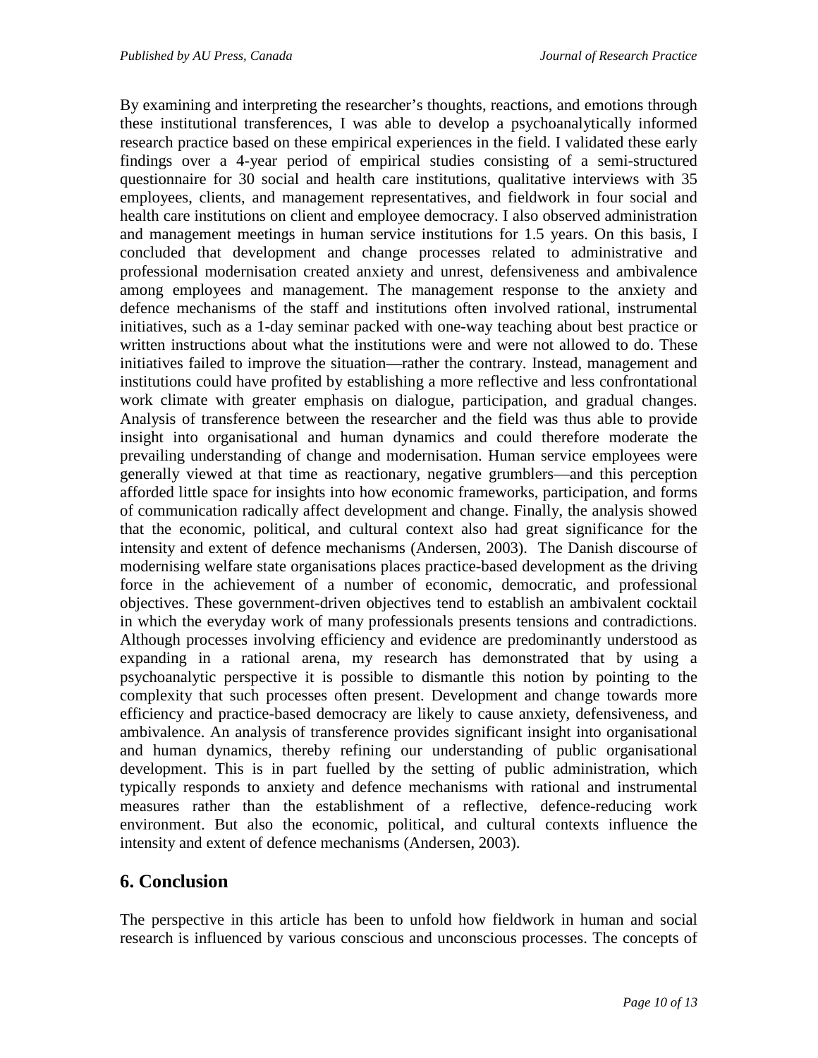By examining and interpreting the researcher's thoughts, reactions, and emotions through these institutional transferences, I was able to develop a psychoanalytically informed research practice based on these empirical experiences in the field. I validated these early findings over a 4-year period of empirical studies consisting of a semi-structured questionnaire for 30 social and health care institutions, qualitative interviews with 35 employees, clients, and management representatives, and fieldwork in four social and health care institutions on client and employee democracy. I also observed administration and management meetings in human service institutions for 1.5 years. On this basis, I concluded that development and change processes related to administrative and professional modernisation created anxiety and unrest, defensiveness and ambivalence among employees and management. The management response to the anxiety and defence mechanisms of the staff and institutions often involved rational, instrumental initiatives, such as a 1-day seminar packed with one-way teaching about best practice or written instructions about what the institutions were and were not allowed to do. These initiatives failed to improve the situation—rather the contrary. Instead, management and institutions could have profited by establishing a more reflective and less confrontational work climate with greater emphasis on dialogue, participation, and gradual changes. Analysis of transference between the researcher and the field was thus able to provide insight into organisational and human dynamics and could therefore moderate the prevailing understanding of change and modernisation. Human service employees were generally viewed at that time as reactionary, negative grumblers—and this perception afforded little space for insights into how economic frameworks, participation, and forms of communication radically affect development and change. Finally, the analysis showed that the economic, political, and cultural context also had great significance for the intensity and extent of defence mechanisms (Andersen, 2003). The Danish discourse of modernising welfare state organisations places practice-based development as the driving force in the achievement of a number of economic, democratic, and professional objectives. These government-driven objectives tend to establish an ambivalent cocktail in which the everyday work of many professionals presents tensions and contradictions. Although processes involving efficiency and evidence are predominantly understood as expanding in a rational arena, my research has demonstrated that by using a psychoanalytic perspective it is possible to dismantle this notion by pointing to the complexity that such processes often present. Development and change towards more efficiency and practice-based democracy are likely to cause anxiety, defensiveness, and ambivalence. An analysis of transference provides significant insight into organisational and human dynamics, thereby refining our understanding of public organisational development. This is in part fuelled by the setting of public administration, which typically responds to anxiety and defence mechanisms with rational and instrumental measures rather than the establishment of a reflective, defence-reducing work environment. But also the economic, political, and cultural contexts influence the intensity and extent of defence mechanisms (Andersen, 2003).

### **6. Conclusion**

The perspective in this article has been to unfold how fieldwork in human and social research is influenced by various conscious and unconscious processes. The concepts of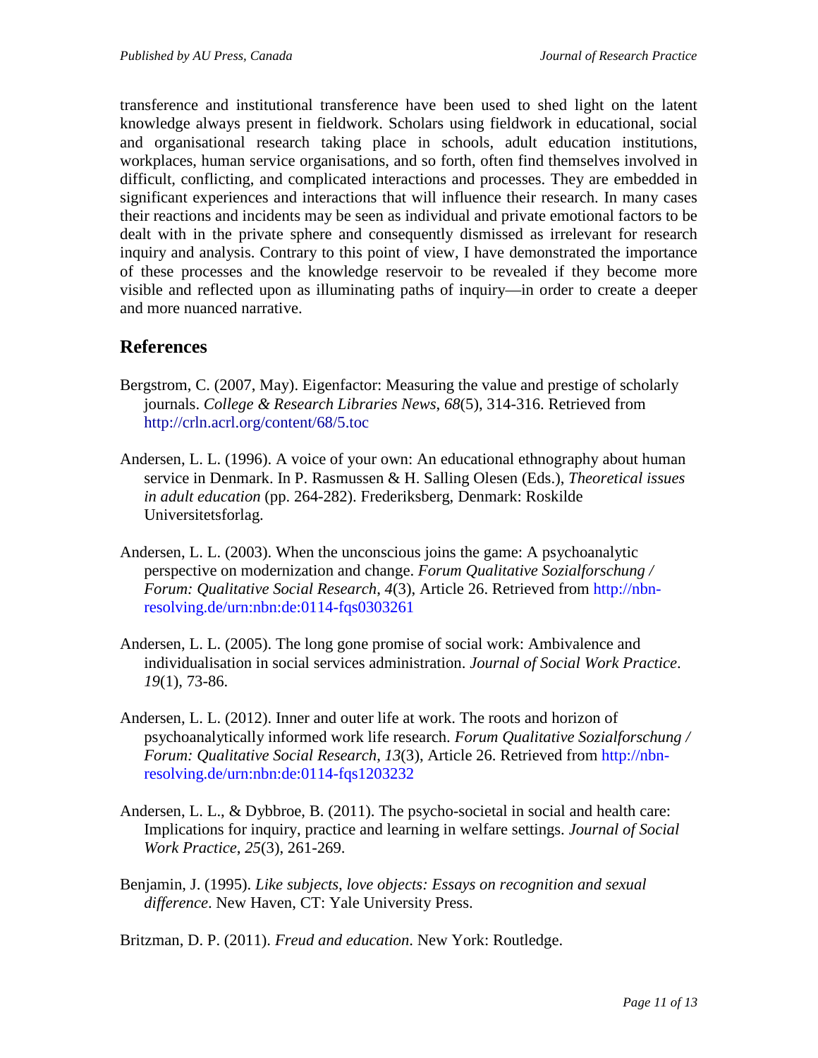transference and institutional transference have been used to shed light on the latent knowledge always present in fieldwork. Scholars using fieldwork in educational, social and organisational research taking place in schools, adult education institutions, workplaces, human service organisations, and so forth, often find themselves involved in difficult, conflicting, and complicated interactions and processes. They are embedded in significant experiences and interactions that will influence their research. In many cases their reactions and incidents may be seen as individual and private emotional factors to be dealt with in the private sphere and consequently dismissed as irrelevant for research inquiry and analysis. Contrary to this point of view, I have demonstrated the importance of these processes and the knowledge reservoir to be revealed if they become more visible and reflected upon as illuminating paths of inquiry—in order to create a deeper and more nuanced narrative.

## **References**

- Bergstrom, C. (2007, May). Eigenfactor: Measuring the value and prestige of scholarly journals. *College & Research Libraries News*, *68*(5), 314-316. Retrieved from <http://crln.acrl.org/content/68/5.toc>
- Andersen, L. L. (1996). A voice of your own: An educational ethnography about human service in Denmark. In P. Rasmussen & H. Salling Olesen (Eds.), *Theoretical issues in adult education* (pp. 264-282). Frederiksberg, Denmark: Roskilde Universitetsforlag.
- Andersen, L. L. (2003). When the unconscious joins the game: A psychoanalytic perspective on modernization and change. *Forum Qualitative Sozialforschung / Forum: Qualitative Social Research*, *4*(3), Article 26. Retrieved from [http://nbn](http://nbn-resolving.de/urn:nbn:de:0114-fqs0303261)[resolving.de/urn:nbn:de:0114-fqs0303261](http://nbn-resolving.de/urn:nbn:de:0114-fqs0303261)
- Andersen, L. L. (2005). The long gone promise of social work: Ambivalence and individualisation in social services administration. *Journal of Social Work Practice*. *19*(1), 73-86.
- Andersen, L. L. (2012). Inner and outer life at work. The roots and horizon of psychoanalytically informed work life research. *Forum Qualitative Sozialforschung / Forum: Qualitative Social Research*, *13*(3), Article 26. Retrieved from [http://nbn](http://nbn-resolving.de/urn:nbn:de:0114-fqs1203232)[resolving.de/urn:nbn:de:0114-fqs1203232](http://nbn-resolving.de/urn:nbn:de:0114-fqs1203232)
- Andersen, L. L., & Dybbroe, B. (2011). The psycho-societal in social and health care: Implications for inquiry, practice and learning in welfare settings. *Journal of Social Work Practice*, *25*(3), 261-269.
- Benjamin, J. (1995). *Like subjects, love objects: Essays on recognition and sexual difference*. New Haven, CT: Yale University Press.

Britzman, D. P. (2011). *Freud and education*. New York: Routledge.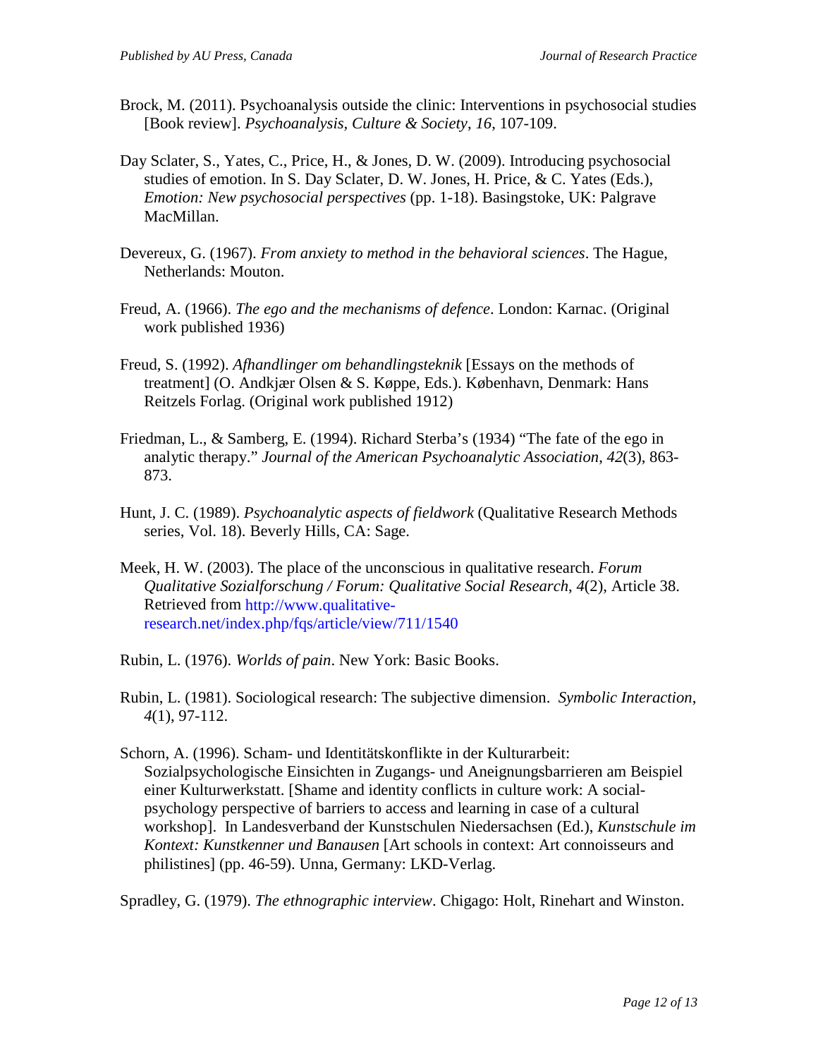- Brock, M. (2011). Psychoanalysis outside the clinic: Interventions in psychosocial studies [Book review]. *Psychoanalysis, Culture & Society*, *16*, 107-109.
- Day Sclater, S., Yates, C., Price, H., & Jones, D. W. (2009). Introducing psychosocial studies of emotion. In S. Day Sclater, D. W. Jones, H. Price, & C. Yates (Eds.), *Emotion: New psychosocial perspectives* (pp. 1-18). Basingstoke, UK: Palgrave MacMillan.
- Devereux, G. (1967). *From anxiety to method in the behavioral sciences*. The Hague, Netherlands: Mouton.
- Freud, A. (1966). *The ego and the mechanisms of defence*. London: Karnac. (Original work published 1936)
- Freud, S. (1992). *Afhandlinger om behandlingsteknik* [Essays on the methods of treatment] (O. Andkjær Olsen & S. Køppe, Eds.). København, Denmark: Hans Reitzels Forlag. (Original work published 1912)
- Friedman, L., & Samberg, E. (1994). Richard Sterba's (1934) "The fate of the ego in analytic therapy." *Journal of the American Psychoanalytic Association*, *42*(3), 863- 873.
- Hunt, J. C. (1989). *Psychoanalytic aspects of fieldwork* (Qualitative Research Methods series, Vol. 18). Beverly Hills, CA: Sage.
- Meek, H. W. (2003). The place of the unconscious in qualitative research. *Forum Qualitative Sozialforschung / Forum: Qualitative Social Research*, *4*(2), Article 38. Retrieved from [http://www.qualitative](http://www.qualitative-research.net/index.php/fqs/article/view/711/1540)[research.net/index.php/fqs/article/view/711/1540](http://www.qualitative-research.net/index.php/fqs/article/view/711/1540)
- Rubin, L. (1976). *Worlds of pain*. New York: Basic Books.
- Rubin, L. (1981). Sociological research: The subjective dimension. *Symbolic Interaction*, *4*(1), 97-112.
- Schorn, A. (1996). Scham- und Identitätskonflikte in der Kulturarbeit: Sozialpsychologische Einsichten in Zugangs- und Aneignungsbarrieren am Beispiel einer Kulturwerkstatt. [Shame and identity conflicts in culture work: A socialpsychology perspective of barriers to access and learning in case of a cultural workshop]. In Landesverband der Kunstschulen Niedersachsen (Ed.), *Kunstschule im Kontext: Kunstkenner und Banausen* [Art schools in context: Art connoisseurs and philistines] (pp. 46-59). Unna, Germany: LKD-Verlag.

Spradley, G. (1979). *The ethnographic interview*. Chigago: Holt, Rinehart and Winston.